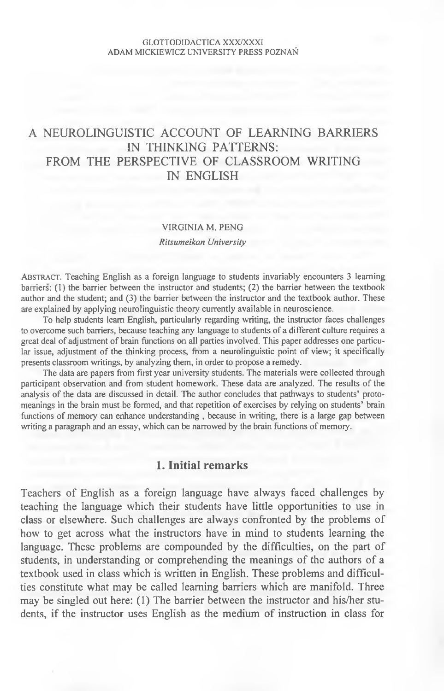# A NEUROLINGUISTIC ACCOUNT OF LEARNING BARRIERS IN THINKING PATTERNS: FROM THE PERSPECTIVE OF CLASSROOM WRITING IN ENGLISH

## VIRGINIA M. PENG

## *Ritsumeikan University*

AB STRACT. Teaching English as a foreign language to students invariably encounters 3 learning barriers: (1) the barrier between the instructor and students; (2) the barrier between the textbook author and the student; and (3) the barrier between the instructor and the textbook author. These are explained by applying neurolinguistic theory currently available in neuroscience.

To help students learn English, particularly regarding writing, the instructor faces challenges to overcome such barriers, because teaching any language to students of a different culture requires a great deal of adjustment of brain functions on all parties involved. This paper addresses one particular issue, adjustment of the thinking process, from a neurolinguistic point of view; it specifically presents classroom writings, by analyzing them, in order to propose a remedy.

The data are papers from first year university students. The materials were collected through participant observation and from student homework. These data are analyzed. The results of the analysis of the data are discussed in detail. The author concludes that pathways to students' protomeanings in the brain must be formed, and that repetition of exercises by relying on students' brain functions of memory can enhance understanding, because in writing, there is a large gap between writing a paragraph and an essay, which can be narrowed by the brain functions of memory.

## **1. Initial remarks**

Teachers of English as a foreign language have always faced challenges by teaching the language which their students have little opportunities to use in class or elsewhere. Such challenges are always confronted by the problems of how to get across what the instructors have in mind to students learning the language. These problems are compounded by the difficulties, on the part of students, in understanding or comprehending the meanings of the authors of a textbook used in class which is written in English. These problems and difficulties constitute what may be called learning barriers which are manifold. Three may be singled out here: (1) The barrier between the instructor and his/her students, if the instructor uses English as the medium of instruction in class for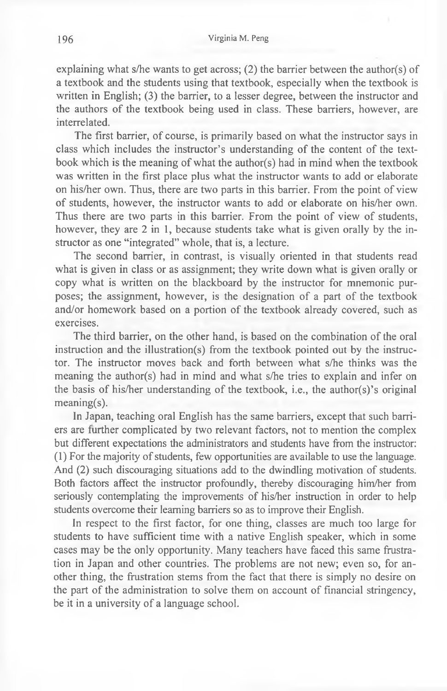explaining what s/he wants to get across; (2) the barrier between the author(s) of a textbook and the students using that textbook, especially when the textbook is written in English; (3) the barrier, to a lesser degree, between the instructor and the authors of the textbook being used in class. These barriers, however, are interrelated.

The first barrier, of course, is primarily based on what the instructor says in class which includes the instructor's understanding of the content of the textbook which is the meaning of what the author(s) had in mind when the textbook was written in the first place plus what the instructor wants to add or elaborate on his/her own. Thus, there are two parts in this barrier. From the point of view of students, however, the instructor wants to add or elaborate on his/her own. Thus there are two parts in this barrier. From the point of view of students, however, they are 2 in 1, because students take what is given orally by the instructor as one "integrated" whole, that is, a lecture.

The second barrier, in contrast, is visually oriented in that students read what is given in class or as assignment; they write down what is given orally or copy what is written on the blackboard by the instructor for mnemonic purposes; the assignment, however, is the designation of a part of the textbook and/or homework based on a portion of the textbook already covered, such as exercises.

The third barrier, on the other hand, is based on the combination of the oral instruction and the illustration(s) from the textbook pointed out by the instructor. The instructor moves back and forth between what s/he thinks was the meaning the author(s) had in mind and what s/he tries to explain and infer on the basis of his/her understanding of the textbook, i.e., the author(s)'s original meaning(s).

In Japan, teaching oral English has the same barriers, except that such barriers are further complicated by two relevant factors, not to mention the complex but different expectations the administrators and students have from the instructor: (1) For the majority of students, few opportunities are available to use the language. And (2) such discouraging situations add to the dwindling motivation of students. Both factors affect the instructor profoundly, thereby discouraging him/her from seriously contemplating the improvements of his/her instruction in order to help students overcome their learning barriers so as to improve their English.

In respect to the first factor, for one thing, classes are much too large for students to have sufficient time with a native English speaker, which in some cases may be the only opportunity. Many teachers have faced this same frustration in Japan and other countries. The problems are not new; even so, for another thing, the frustration stems from the fact that there is simply no desire on the part of the administration to solve them on account of financial stringency, be it in a university of a language school.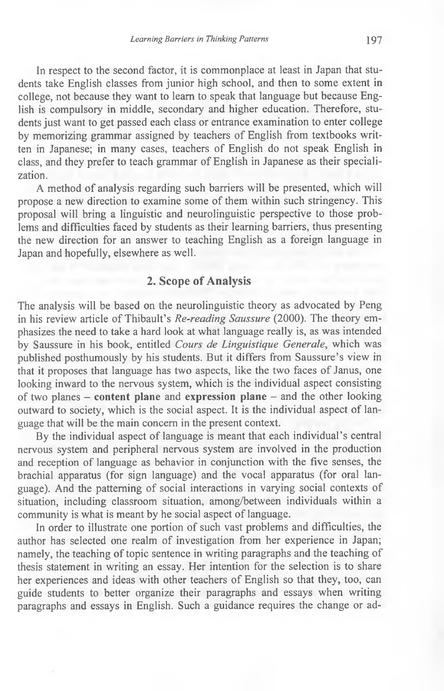In respect to the second factor, it is commonplace at least in Japan that students take English classes from junior high school, and then to some extent in college, not because they want to learn to speak that language but because English is compulsory in middle, secondary and higher education. Therefore, students just want to get passed each class or entrance examination to enter college by memorizing grammar assigned by teachers of English from textbooks written in Japanese; in many cases, teachers of English do not speak English in class, and they prefer to teach grammar of English in Japanese as their specialization.

A method of analysis regarding such barriers will be presented, which will propose a new direction to examine some of them within such stringency. This proposal will bring a linguistic and neurolinguistic perspective to those problems and difficulties faced by students as their learning barriers, thus presenting the new direction for an answer to teaching English as a foreign language in Japan and hopefully, elsewhere as well.

## **2. Scope of Analysis**

The analysis will be based on the neurolinguistic theory as advocated by Peng in his review article of Thibault's *Re-reading Saussure* (2000). The theory emphasizes the need to take a hard look at what language really is, as was intended by Saussure in his book, entitled *Cours de Linguistique Generate,* which was published posthumously by his students. But it differs from Saussure's view in that it proposes that language has two aspects, like the two faces of Janus, one looking inward to the nervous system, which is the individual aspect consisting of two planes - **content plane** and **expression plane** - and the other looking outward to society, which is the social aspect. It is the individual aspect of language that will be the main concern in the present context.

By the individual aspect of language is meant that each individual's central nervous system and peripheral nervous system are involved in the production and reception of language as behavior in conjunction with the five senses, the brachial apparatus (for sign language) and the vocal apparatus (for oral language). And the patterning of social interactions in varying social contexts of situation, including classroom situation, among/between individuals within a community is what is meant by he social aspect of language.

In order to illustrate one portion of such vast problems and difficulties, the author has selected one realm of investigation from her experience in Japan; namely, the teaching of topic sentence in writing paragraphs and the teaching of thesis statement in writing an essay. Her intention for the selection is to share her experiences and ideas with other teachers of English so that they, too, can guide students to better organize their paragraphs and essays when writing paragraphs and essays in English. Such a guidance requires the change or ad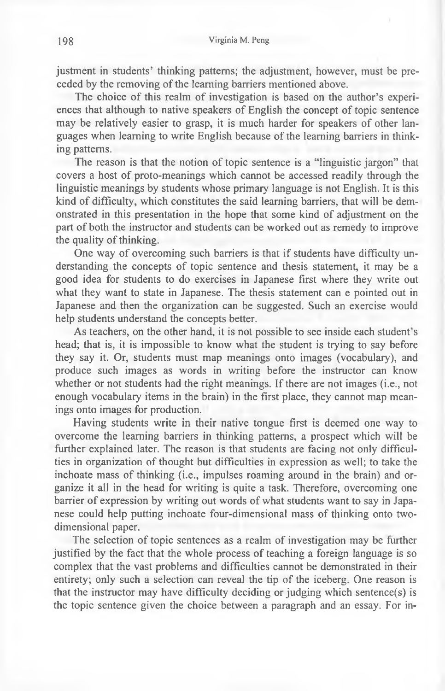justment in students' thinking patterns; the adjustment, however, must be preceded by the removing of the learning barriers mentioned above.

The choice of this realm of investigation is based on the author's experiences that although to native speakers of English the concept of topic sentence may be relatively easier to grasp, it is much harder for speakers of other languages when learning to write English because of the learning barriers in thinking patterns.

The reason is that the notion of topic sentence is a "linguistic jargon" that covers a host of proto-meanings which cannot be accessed readily through the linguistic meanings by students whose primary language is not English. It is this kind of difficulty, which constitutes the said learning barriers, that will be demonstrated in this presentation in the hope that some kind of adjustment on the part of both the instructor and students can be worked out as remedy to improve the quality of thinking.

One way of overcoming such barriers is that if students have difficulty understanding the concepts of topic sentence and thesis statement, it may be a good idea for students to do exercises in Japanese first where they write out what they want to state in Japanese. The thesis statement can e pointed out in Japanese and then the organization can be suggested. Such an exercise would help students understand the concepts better.

As teachers, on the other hand, it is not possible to see inside each student's head; that is, it is impossible to know what the student is trying to say before they say it. Or, students must map meanings onto images (vocabulary), and produce such images as words in writing before the instructor can know whether or not students had the right meanings. If there are not images (i.e., not enough vocabulary items in the brain) in the first place, they cannot map meanings onto images for production.

Having students write in their native tongue first is deemed one way to overcome the learning barriers in thinking patterns, a prospect which will be further explained later. The reason is that students are facing not only difficulties in organization of thought but difficulties in expression as well; to take the inchoate mass of thinking (i.e., impulses roaming around in the brain) and organize it all in the head for writing is quite a task. Therefore, overcoming one barrier of expression by writing out words of what students want to say in Japanese could help putting inchoate four-dimensional mass of thinking onto twodimensional paper.

The selection of topic sentences as a realm of investigation may be further justified by the fact that the whole process of teaching a foreign language is so complex that the vast problems and difficulties cannot be demonstrated in their entirety; only such a selection can reveal the tip of the iceberg. One reason is that the instructor may have difficulty deciding or judging which sentence(s) is the topic sentence given the choice between a paragraph and an essay. For in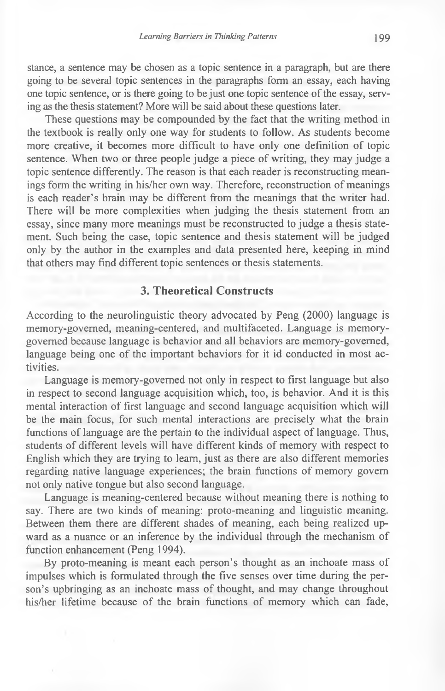stance, a sentence may be chosen as a topic sentence in a paragraph, but are there going to be several topic sentences in the paragraphs form an essay, each having one topic sentence, or is there going to be just one topic sentence of the essay, serving as the thesis statement? More will be said about these questions later.

These questions may be compounded by the fact that the writing method in the textbook is really only one way for students to follow. As students become more creative, it becomes more difficult to have only one definition of topic sentence. When two or three people judge a piece of writing, they may judge a topic sentence differently. The reason is that each reader is reconstructing meanings form the writing in his/her own way. Therefore, reconstruction of meanings is each reader's brain may be different from the meanings that the writer had. There will be more complexities when judging the thesis statement from an essay, since many more meanings must be reconstructed to judge a thesis statement. Such being the case, topic sentence and thesis statement will be judged only by the author in the examples and data presented here, keeping in mind that others may find different topic sentences or thesis statements.

## **3. Theoretical Constructs**

According to the neurolinguistic theory advocated by Peng (2000) language is memory-governed, meaning-centered, and multifaceted. Language is memorygoverned because language is behavior and all behaviors are memory-governed, language being one of the important behaviors for it id conducted in most activities.

Language is memory-governed not only in respect to first language but also in respect to second language acquisition which, too, is behavior. And it is this mental interaction of first language and second language acquisition which will be the main focus, for such mental interactions are precisely what the brain functions of language are the pertain to the individual aspect of language. Thus, students of different levels will have different kinds of memory with respect to English which they are trying to learn, just as there are also different memories regarding native language experiences; the brain functions of memory govern not only native tongue but also second language.

Language is meaning-centered because without meaning there is nothing to say. There are two kinds of meaning: proto-meaning and linguistic meaning. Between them there are different shades of meaning, each being realized upward as a nuance or an inference by the individual through the mechanism of function enhancement (Peng 1994).

By proto-meaning is meant each person's thought as an inchoate mass of impulses which is formulated through the five senses over time during the person's upbringing as an inchoate mass of thought, and may change throughout his/her lifetime because of the brain functions of memory which can fade,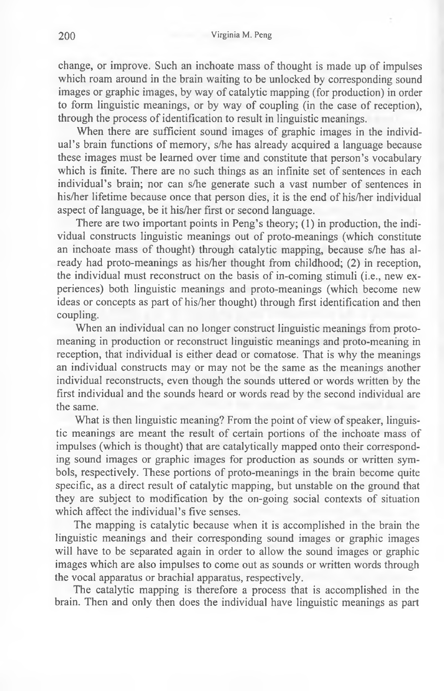change, or improve. Such an inchoate mass of thought is made up of impulses which roam around in the brain waiting to be unlocked by corresponding sound images or graphic images, by way of catalytic mapping (for production) in order to form linguistic meanings, or by way of coupling (in the case of reception), through the process of identification to result in linguistic meanings.

When there are sufficient sound images of graphic images in the individual's brain functions of memory, s/he has already acquired a language because these images must be learned over time and constitute that person's vocabulary which is finite. There are no such things as an infinite set of sentences in each individual's brain; nor can s/he generate such a vast number of sentences in his/her lifetime because once that person dies, it is the end of his/her individual aspect of language, be it his/her first or second language.

There are two important points in Peng's theory; (1) in production, the individual constructs linguistic meanings out of proto-meanings (which constitute an inchoate mass of thought) through catalytic mapping, because s/he has already had proto-meanings as his/her thought from childhood; (2) in reception, the individual must reconstruct on the basis of in-coming stimuli (i.e., new experiences) both linguistic meanings and proto-meanings (which become new ideas or concepts as part of his/her thought) through first identification and then coupling.

When an individual can no longer construct linguistic meanings from protomeaning in production or reconstruct linguistic meanings and proto-meaning in reception, that individual is either dead or comatose. That is why the meanings an individual constructs may or may not be the same as the meanings another individual reconstructs, even though the sounds uttered or words written by the first individual and the sounds heard or words read by the second individual are the same.

What is then linguistic meaning? From the point of view of speaker, linguistic meanings are meant the result of certain portions of the inchoate mass of impulses (which is thought) that are catalytically mapped onto their corresponding sound images or graphic images for production as sounds or written symbols, respectively. These portions of proto-meanings in the brain become quite specific, as a direct result of catalytic mapping, but unstable on the ground that they are subject to modification by the on-going social contexts of situation which affect the individual's five senses.

The mapping is catalytic because when it is accomplished in the brain the linguistic meanings and their corresponding sound images or graphic images will have to be separated again in order to allow the sound images or graphic images which are also impulses to come out as sounds or written words through the vocal apparatus or brachial apparatus, respectively.

The catalytic mapping is therefore a process that is accomplished in the brain. Then and only then does the individual have linguistic meanings as part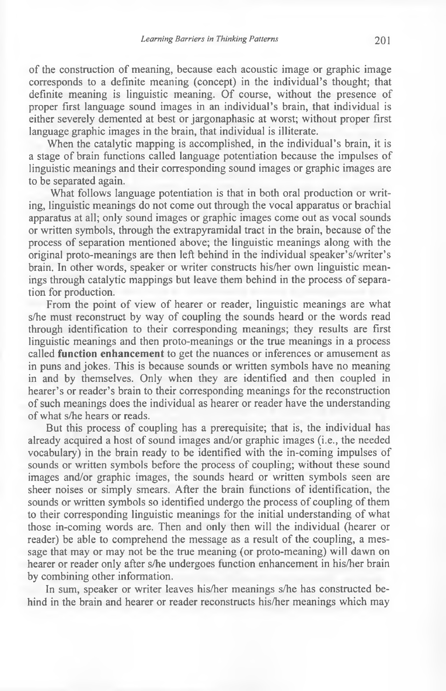of the construction of meaning, because each acoustic image or graphic image corresponds to a definite meaning (concept) in the individual's thought; that definite meaning is linguistic meaning. Of course, without the presence of proper first language sound images in an individual's brain, that individual is either severely demented at best or jargonaphasic at worst; without proper first language graphic images in the brain, that individual is illiterate.

When the catalytic mapping is accomplished, in the individual's brain, it is a stage of brain functions called language potentiation because the impulses of linguistic meanings and their corresponding sound images or graphic images are to be separated again.

What follows language potentiation is that in both oral production or writing, linguistic meanings do not come out through the vocal apparatus or brachial apparatus at all; only sound images or graphic images come out as vocal sounds or written symbols, through the extrapyramidal tract in the brain, because of the process of separation mentioned above; the linguistic meanings along with the original proto-meanings are then left behind in the individual speaker's/writer's brain. In other words, speaker or writer constructs his/her own linguistic meanings through catalytic mappings but leave them behind in the process of separation for production.

From the point of view of hearer or reader, linguistic meanings are what s/he must reconstruct by way of coupling the sounds heard or the words read through identification to their corresponding meanings; they results are first linguistic meanings and then proto-meanings or the true meanings in a process called **function enhancement** to get the nuances or inferences or amusement as in puns and jokes. This is because sounds or written symbols have no meaning in and by themselves. Only when they are identified and then coupled in hearer's or reader's brain to their corresponding meanings for the reconstruction of such meanings does the individual as hearer or reader have the understanding of what s/he hears or reads.

But this process of coupling has a prerequisite; that is, the individual has already acquired a host of sound images and/or graphic images (i.e., the needed vocabulary) in the brain ready to be identified with the in-coming impulses of sounds or written symbols before the process of coupling; without these sound images and/or graphic images, the sounds heard or written symbols seen are sheer noises or simply smears. After the brain functions of identification, the sounds or written symbols so identified undergo the process of coupling of them to their corresponding linguistic meanings for the initial understanding of what those in-coming words are. Then and only then will the individual (hearer or reader) be able to comprehend the message as a result of the coupling, a message that may or may not be the true meaning (or proto-meaning) will dawn on hearer or reader only after s/he undergoes function enhancement in his/her brain by combining other information.

In sum, speaker or writer leaves his/her meanings s/he has constructed behind in the brain and hearer or reader reconstructs his/her meanings which may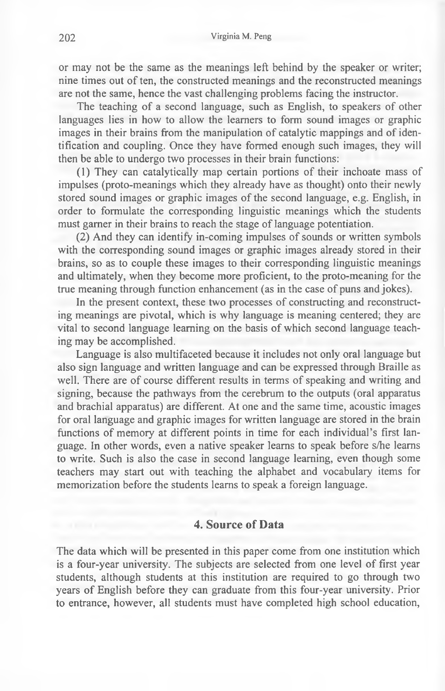or may not be the same as the meanings left behind by the speaker or writer; nine times out of ten, the constructed meanings and the reconstructed meanings are not the same, hence the vast challenging problems facing the instructor.

The teaching of a second language, such as English, to speakers of other languages lies in how to allow the learners to form sound images or graphic images in their brains from the manipulation of catalytic mappings and of identification and coupling. Once they have formed enough such images, they will then be able to undergo two processes in their brain functions:

(1) They can catalytically map certain portions of their inchoate mass of impulses (proto-meanings which they already have as thought) onto their newly stored sound images or graphic images of the second language, e.g. English, in order to formulate the corresponding linguistic meanings which the students must gamer in their brains to reach the stage of language potentiation.

(2) And they can identify in-coming impulses of sounds or written symbols with the corresponding sound images or graphic images already stored in their brains, so as to couple these images to their corresponding linguistic meanings and ultimately, when they become more proficient, to the proto-meaning for the true meaning through function enhancement (as in the case of puns and jokes).

In the present context, these two processes of constructing and reconstructing meanings are pivotal, which is why language is meaning centered; they are vital to second language learning on the basis of which second language teaching may be accomplished.

Language is also multifaceted because it includes not only oral language but also sign language and written language and can be expressed through Braille as well. There are of course different results in terms of speaking and writing and signing, because the pathways from the cerebrum to the outputs (oral apparatus and brachial apparatus) are different. At one and the same time, acoustic images for oral language and graphic images for written language are stored in the brain functions of memory at different points in time for each individual's first language. In other words, even a native speaker learns to speak before s/he learns to write. Such is also the case in second language learning, even though some teachers may start out with teaching the alphabet and vocabulary items for memorization before the students learns to speak a foreign language.

## **4. Source of Data**

The data which will be presented in this paper come from one institution which is a four-year university. The subjects are selected from one level of first year students, although students at this institution are required to go through two years of English before they can graduate from this four-year university. Prior to entrance, however, all students must have completed high school education,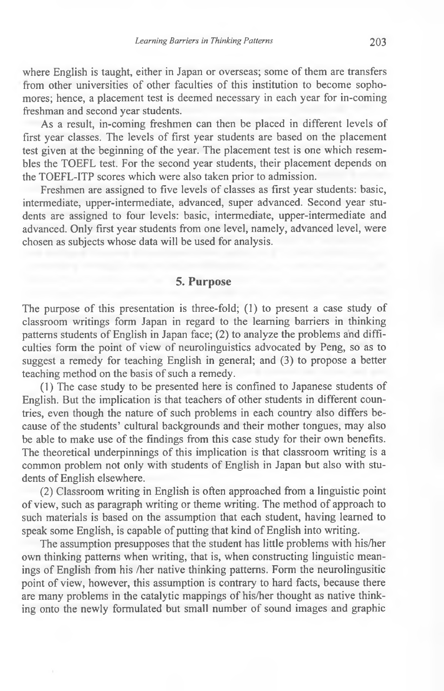where English is taught, either in Japan or overseas; some of them are transfers from other universities of other faculties of this institution to become sophomores; hence, a placement test is deemed necessary in each year for in-coming freshman and second year students.

As a result, in-coming freshmen can then be placed in different levels of first year classes. The levels of first year students are based on the placement test given at the beginning of the year. The placement test is one which resembles the TOEFL test. For the second year students, their placement depends on the TOEFL-ITP scores which were also taken prior to admission.

Freshmen are assigned to five levels of classes as first year students: basic, intermediate, upper-intermediate, advanced, super advanced. Second year students are assigned to four levels: basic, intermediate, upper-intermediate and advanced. Only first year students from one level, namely, advanced level, were chosen as subjects whose data will be used for analysis.

## **5. Purpose**

The purpose of this presentation is three-fold; (1) to present a case study of classroom writings form Japan in regard to the learning barriers in thinking patterns students of English in Japan face; (2) to analyze the problems and difficulties form the point of view of neurolinguistics advocated by Peng, so as to suggest a remedy for teaching English in general; and (3) to propose a better teaching method on the basis of such a remedy.

(1) The case study to be presented here is confined to Japanese students of English. But the implication is that teachers of other students in different countries, even though the nature of such problems in each country also differs because of the students' cultural backgrounds and their mother tongues, may also be able to make use of the findings from this case study for their own benefits. The theoretical underpinnings of this implication is that classroom writing is a common problem not only with students of English in Japan but also with students of English elsewhere.

(2) Classroom writing in English is often approached from a linguistic point of view, such as paragraph writing or theme writing. The method of approach to such materials is based on the assumption that each student, having learned to speak some English, is capable of putting that kind of English into writing.

The assumption presupposes that the student has little problems with his/her own thinking patterns when writing, that is, when constructing linguistic meanings of English from his /her native thinking patterns. Form the neurolingusitic point of view, however, this assumption is contrary to hard facts, because there are many problems in the catalytic mappings of his/her thought as native thinking onto the newly formulated but small number of sound images and graphic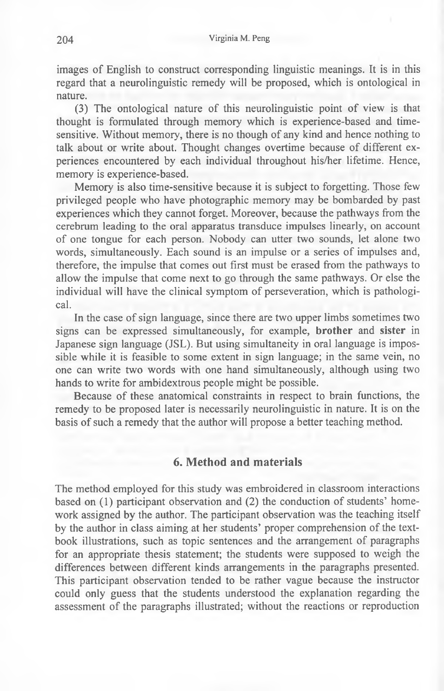images of English to construct corresponding linguistic meanings. It is in this regard that a neurolinguistic remedy will be proposed, which is ontological in nature.

(3) The ontological nature of this neurolinguistic point of view is that thought is formulated through memory which is experience-based and timesensitive. Without memory, there is no though of any kind and hence nothing to talk about or write about. Thought changes overtime because of different experiences encountered by each individual throughout his/her lifetime. Hence, memory is experience-based.

Memory is also time-sensitive because it is subject to forgetting. Those few privileged people who have photographic memory may be bombarded by past experiences which they cannot forget. Moreover, because the pathways from the cerebrum leading to the oral apparatus transduce impulses linearly, on account of one tongue for each person. Nobody can utter two sounds, let alone two words, simultaneously. Each sound is an impulse or a series of impulses and, therefore, the impulse that comes out first must be erased from the pathways to allow the impulse that come next to go through the same pathways. Or else the individual will have the clinical symptom of perseveration, which is pathological.

In the case of sign language, since there are two upper limbs sometimes two signs can be expressed simultaneously, for example, **brother** and **sister** in Japanese sign language (JSL). But using simultaneity in oral language is impossible while it is feasible to some extent in sign language; in the same vein, no one can write two words with one hand simultaneously, although using two hands to write for ambidextrous people might be possible.

Because of these anatomical constraints in respect to brain functions, the remedy to be proposed later is necessarily neurolinguistic in nature. It is on the basis of such a remedy that the author will propose a better teaching method.

## **6. Method and materials**

The method employed for this study was embroidered in classroom interactions based on (1) participant observation and (2) the conduction of students' homework assigned by the author. The participant observation was the teaching itself by the author in class aiming at her students' proper comprehension of the textbook illustrations, such as topic sentences and the arrangement of paragraphs for an appropriate thesis statement; the students were supposed to weigh the differences between different kinds arrangements in the paragraphs presented. This participant observation tended to be rather vague because the instructor could only guess that the students understood the explanation regarding the assessment of the paragraphs illustrated; without the reactions or reproduction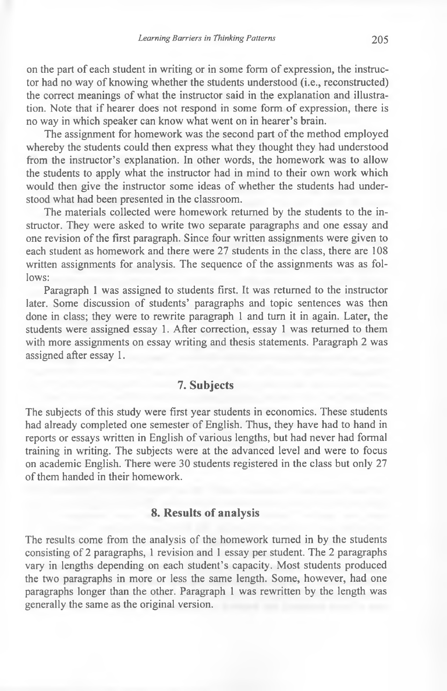on the part of each student in writing or in some form of expression, the instructor had no way of knowing whether the students understood (i.e., reconstructed) the correct meanings of what the instructor said in the explanation and illustration. Note that if hearer does not respond in some form of expression, there is no way in which speaker can know what went on in hearer's brain.

The assignment for homework was the second part of the method employed whereby the students could then express what they thought they had understood from the instructor's explanation. In other words, the homework was to allow the students to apply what the instructor had in mind to their own work which would then give the instructor some ideas of whether the students had understood what had been presented in the classroom.

The materials collected were homework returned by the students to the instructor. They were asked to write two separate paragraphs and one essay and one revision of the first paragraph. Since four written assignments were given to each student as homework and there were 27 students in the class, there are 108 written assignments for analysis. The sequence of the assignments was as follows:

Paragraph 1 was assigned to students first. It was returned to the instructor later. Some discussion of students' paragraphs and topic sentences was then done in class; they were to rewrite paragraph 1 and turn it in again. Later, the students were assigned essay 1. After correction, essay 1 was returned to them with more assignments on essay writing and thesis statements. Paragraph 2 was assigned after essay 1.

### **7. Subjects**

The subjects of this study were first year students in economics. These students had already completed one semester of English. Thus, they have had to hand in reports or essays written in English of various lengths, but had never had formal training in writing. The subjects were at the advanced level and were to focus on academic English. There were 30 students registered in the class but only 27 of them handed in their homework.

## **8. Results of analysis**

The results come from the analysis of the homework turned in by the students consisting of 2 paragraphs, 1 revision and 1 essay per student. The 2 paragraphs vary in lengths depending on each student's capacity. Most students produced the two paragraphs in more or less the same length. Some, however, had one paragraphs longer than the other. Paragraph 1 was rewritten by the length was generally the same as the original version.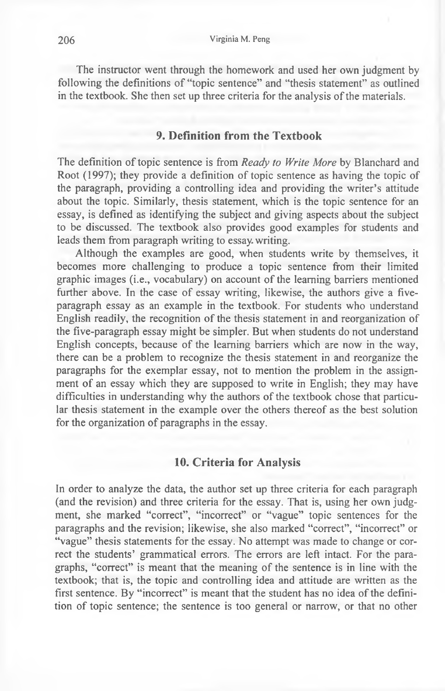The instructor went through the homework and used her own judgment by following the definitions of "topic sentence" and "thesis statement" as outlined in the textbook. She then set up three criteria for the analysis of the materials.

## **9. Definition from the Textbook**

The definition of topic sentence is from *Ready to Write More* by Blanchard and Root (1997); they provide a definition of topic sentence as having the topic of the paragraph, providing a controlling idea and providing the writer's attitude about the topic. Similarly, thesis statement, which is the topic sentence for an essay, is defined as identifying the subject and giving aspects about the subject to be discussed. The textbook also provides good examples for students and leads them from paragraph writing to essay, writing.

Although the examples are good, when students write by themselves, it becomes more challenging to produce a topic sentence from their limited graphic images (i.e., vocabulary) on account of the learning barriers mentioned further above. In the case of essay writing, likewise, the authors give a fiveparagraph essay as an example in the textbook. For students who understand English readily, the recognition of the thesis statement in and reorganization of the five-paragraph essay might be simpler. But when students do not understand English concepts, because of the learning barriers which are now in the way, there can be a problem to recognize the thesis statement in and reorganize the paragraphs for the exemplar essay, not to mention the problem in the assignment of an essay which they are supposed to write in English; they may have difficulties in understanding why the authors of the textbook chose that particular thesis statement in the example over the others thereof as the best solution for the organization of paragraphs in the essay.

### **10. Criteria for Analysis**

In order to analyze the data, the author set up three criteria for each paragraph (and the revision) and three criteria for the essay. That is, using her own judgment, she marked "correct", "incorrect" or "vague" topic sentences for the paragraphs and the revision; likewise, she also marked "correct", "incorrect" or "vague" thesis statements for the essay. No attempt was made to change or correct the students' grammatical errors. The errors are left intact. For the paragraphs, "correct" is meant that the meaning of the sentence is in line with the textbook; that is, the topic and controlling idea and attitude are written as the first sentence. By "incorrect" is meant that the student has no idea of the definition of topic sentence; the sentence is too general or narrow, or that no other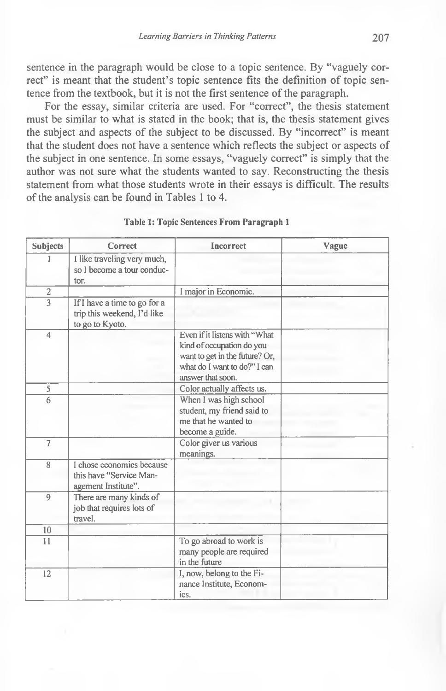sentence in the paragraph would be close to a topic sentence. By "vaguely correct" is meant that the student's topic sentence fits the definition of topic sentence from the textbook, but it is not the first sentence of the paragraph.

For the essay, similar criteria are used. For "correct", the thesis statement must be similar to what is stated in the book; that is, the thesis statement gives the subject and aspects of the subject to be discussed. By "incorrect" is meant that the student does not have a sentence which reflects the subject or aspects of the subject in one sentence. In some essays, "vaguely correct" is simply that the author was not sure what the students wanted to say. Reconstructing the thesis statement from what those students wrote in their essays is difficult. The results of the analysis can be found in Tables 1 to 4.

| <b>Subjects</b> | <b>Correct</b>                                                                 | <b>Incorrect</b>                                                                                                                                  | Vague |
|-----------------|--------------------------------------------------------------------------------|---------------------------------------------------------------------------------------------------------------------------------------------------|-------|
|                 | I like traveling very much,<br>so I become a tour conduc-<br>tor.              |                                                                                                                                                   |       |
| $\sqrt{2}$      |                                                                                | I major in Economic.                                                                                                                              |       |
| $\overline{3}$  | If I have a time to go for a<br>trip this weekend, I'd like<br>to go to Kyoto. |                                                                                                                                                   |       |
| $\overline{4}$  |                                                                                | Even if it listens with "What<br>kind of occupation do you<br>want to get in the future? Or,<br>what do I want to do?" I can<br>answer that soon. |       |
| $\sqrt{5}$      |                                                                                | Color actually affects us.                                                                                                                        |       |
| 6               |                                                                                | When I was high school<br>student, my friend said to<br>me that he wanted to<br>become a guide.                                                   |       |
| $\overline{7}$  |                                                                                | Color giver us various<br>meanings.                                                                                                               |       |
| 8               | I chose economics because<br>this have "Service Man-<br>agement Institute".    |                                                                                                                                                   |       |
| $\overline{9}$  | There are many kinds of<br>job that requires lots of<br>travel.                |                                                                                                                                                   |       |
| 10              |                                                                                |                                                                                                                                                   |       |
| 11              |                                                                                | To go abroad to work is<br>many people are required<br>in the future                                                                              |       |
| 12              |                                                                                | I, now, belong to the Fi-<br>nance Institute, Econom-<br>ics.                                                                                     |       |

#### **Table 1: Topic Sentences From Paragraph 1**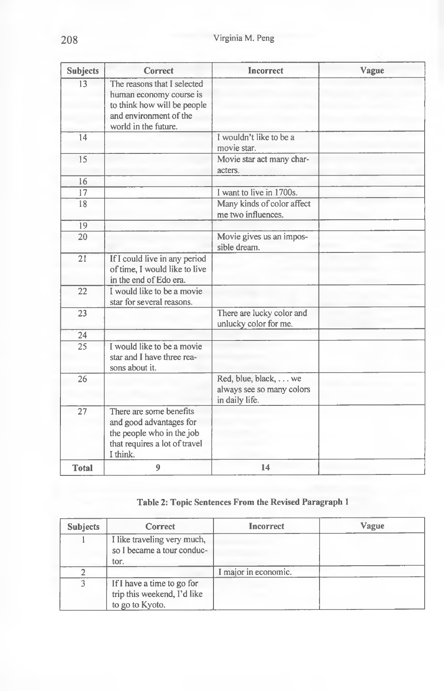| <b>Subjects</b> | Correct                                                                                                                                 | <b>Incorrect</b>                                                    | Vague |
|-----------------|-----------------------------------------------------------------------------------------------------------------------------------------|---------------------------------------------------------------------|-------|
| 13              | The reasons that I selected<br>human economy course is<br>to think how will be people<br>and environment of the<br>world in the future. |                                                                     |       |
| 14              |                                                                                                                                         | I wouldn't like to be a<br>movie star.                              |       |
| 15              |                                                                                                                                         | Movie star act many char-<br>acters.                                |       |
| 16              |                                                                                                                                         |                                                                     |       |
| 17              |                                                                                                                                         | I want to live in 1700s.                                            |       |
| 18              |                                                                                                                                         | Many kinds of color affect<br>me two influences.                    |       |
| 19              |                                                                                                                                         |                                                                     |       |
| $\overline{20}$ |                                                                                                                                         | Movie gives us an impos-<br>sible dream.                            |       |
| 21              | If I could live in any period<br>of time, I would like to live<br>in the end of Edo era.                                                |                                                                     |       |
| 22              | I would like to be a movie<br>star for several reasons.                                                                                 |                                                                     |       |
| 23              |                                                                                                                                         | There are lucky color and<br>unlucky color for me.                  |       |
| 24              |                                                                                                                                         |                                                                     |       |
| $\overline{25}$ | I would like to be a movie<br>star and I have three rea-<br>sons about it.                                                              |                                                                     |       |
| 26              |                                                                                                                                         | Red, blue, black, we<br>always see so many colors<br>in daily life. |       |
| 27              | There are some benefits<br>and good advantages for<br>the people who in the job<br>that requires a lot of travel<br>I think.            |                                                                     |       |
| <b>Total</b>    | 9                                                                                                                                       | 14                                                                  |       |

## **Table 2: Topic Sentences From the Revised Paragraph 1**

| <b>Subjects</b> | Correct                                                                      | Incorrect            | Vague |
|-----------------|------------------------------------------------------------------------------|----------------------|-------|
|                 | I like traveling very much,<br>so I became a tour conduc-<br>tor.            |                      |       |
|                 |                                                                              | I major in economic. |       |
| ٩               | If I have a time to go for<br>trip this weekend, I'd like<br>to go to Kyoto. |                      |       |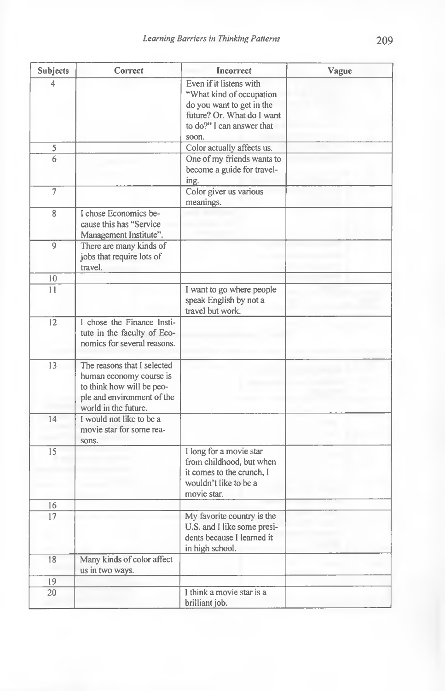| <b>Subjects</b> | Correct                     | <b>Incorrect</b>            | Vague |
|-----------------|-----------------------------|-----------------------------|-------|
| 4               |                             | Even if it listens with     |       |
|                 |                             | "What kind of occupation    |       |
|                 |                             | do you want to get in the   |       |
|                 |                             | future? Or. What do I want  |       |
|                 |                             | to do?" I can answer that   |       |
|                 |                             | soon.                       |       |
| 5               |                             | Color actually affects us.  |       |
| $\overline{6}$  |                             | One of my friends wants to  |       |
|                 |                             | become a guide for travel-  |       |
|                 |                             | ing.                        |       |
| $\overline{7}$  |                             | Color giver us various      |       |
|                 |                             | meanings.                   |       |
| 8               | I chose Economics be-       |                             |       |
|                 | cause this has "Service     |                             |       |
|                 | Management Institute".      |                             |       |
| 9               | There are many kinds of     |                             |       |
|                 | jobs that require lots of   |                             |       |
|                 | travel.                     |                             |       |
| 10              |                             |                             |       |
| 11              |                             | I want to go where people   |       |
|                 |                             | speak English by not a      |       |
|                 |                             | travel but work.            |       |
| 12              | I chose the Finance Insti-  |                             |       |
|                 | tute in the faculty of Eco- |                             |       |
|                 | nomics for several reasons. |                             |       |
|                 |                             |                             |       |
| 13              | The reasons that I selected |                             |       |
|                 | human economy course is     |                             |       |
|                 | to think how will be peo-   |                             |       |
|                 | ple and environment of the  |                             |       |
|                 | world in the future.        |                             |       |
| 14              | I would not like to be a    |                             |       |
|                 | movie star for some rea-    |                             |       |
|                 | sons.                       |                             |       |
| 15              |                             | I long for a movie star     |       |
|                 |                             | from childhood, but when    |       |
|                 |                             | it comes to the crunch. I   |       |
|                 |                             | wouldn't like to be a       |       |
|                 |                             | movie star.                 |       |
| 16              |                             |                             |       |
| 17              |                             | My favorite country is the  |       |
|                 |                             | U.S. and I like some presi- |       |
|                 |                             | dents because I learned it  |       |
|                 |                             | in high school.             |       |
| 18              | Many kinds of color affect  |                             |       |
|                 | us in two ways.             |                             |       |
| 19              |                             |                             |       |
| 20              |                             | I think a movie star is a   |       |
|                 |                             | brilliant job.              |       |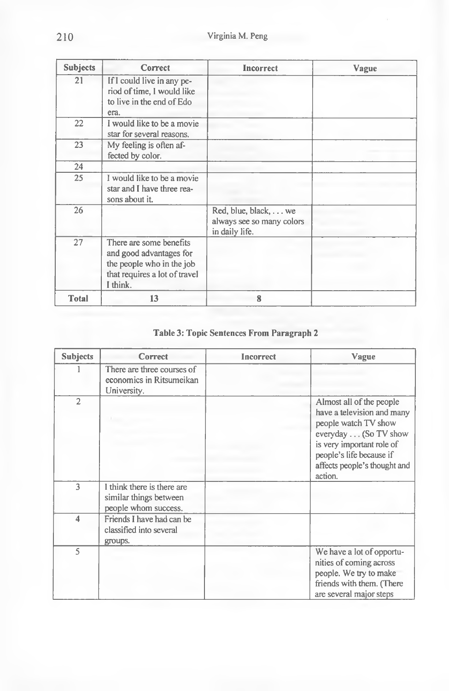| <b>Subjects</b> | Correct                                                                                                                      | <b>Incorrect</b>                                                    | Vague |
|-----------------|------------------------------------------------------------------------------------------------------------------------------|---------------------------------------------------------------------|-------|
| 21              | If I could live in any pe-<br>riod of time, I would like<br>to live in the end of Edo<br>era.                                |                                                                     |       |
| 22              | I would like to be a movie<br>star for several reasons.                                                                      |                                                                     |       |
| 23              | My feeling is often af-<br>fected by color.                                                                                  |                                                                     |       |
| 24              |                                                                                                                              |                                                                     |       |
| 25              | I would like to be a movie<br>star and I have three rea-<br>sons about it.                                                   |                                                                     |       |
| 26              |                                                                                                                              | Red, blue, black, we<br>always see so many colors<br>in daily life. |       |
| 27              | There are some benefits<br>and good advantages for<br>the people who in the job<br>that requires a lot of travel<br>I think. |                                                                     |       |
| <b>Total</b>    | 13                                                                                                                           | 8                                                                   |       |

# **Table 3: Topic Sentences From Paragraph 2**

| <b>Subjects</b> | Correct                                                                      | <b>Incorrect</b> | Vague                                                                                                                                                                                                      |
|-----------------|------------------------------------------------------------------------------|------------------|------------------------------------------------------------------------------------------------------------------------------------------------------------------------------------------------------------|
|                 | There are three courses of<br>economics in Ritsumeikan<br>University.        |                  |                                                                                                                                                                                                            |
| $\overline{2}$  |                                                                              |                  | Almost all of the people<br>have a television and many<br>people watch TV show<br>everyday (So TV show<br>is very important role of<br>people's life because if<br>affects people's thought and<br>action. |
| 3               | I think there is there are<br>similar things between<br>people whom success. |                  |                                                                                                                                                                                                            |
| 4               | Friends I have had can be<br>classified into several<br>groups.              |                  |                                                                                                                                                                                                            |
| $\varsigma$     |                                                                              |                  | We have a lot of opportu-<br>nities of coming across<br>people. We try to make<br>friends with them. (There<br>are several major steps                                                                     |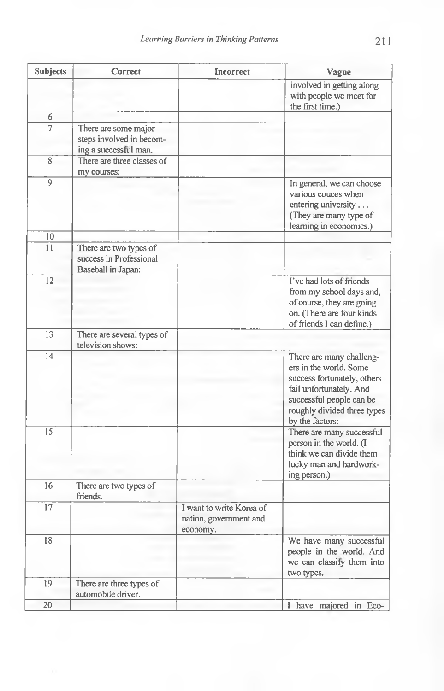| <b>Subjects</b> | Correct                                                                   | <b>Incorrect</b>                                               | Vague                                                                                                                                                                                      |
|-----------------|---------------------------------------------------------------------------|----------------------------------------------------------------|--------------------------------------------------------------------------------------------------------------------------------------------------------------------------------------------|
|                 |                                                                           |                                                                | involved in getting along<br>with people we meet for<br>the first time.)                                                                                                                   |
| 6               |                                                                           |                                                                |                                                                                                                                                                                            |
| 7               | There are some major<br>steps involved in becom-<br>ing a successful man. |                                                                |                                                                                                                                                                                            |
| 8               | There are three classes of<br>my courses:                                 |                                                                |                                                                                                                                                                                            |
| 9               |                                                                           |                                                                | In general, we can choose<br>various couces when<br>entering university<br>(They are many type of<br>learning in economics.)                                                               |
| 10              |                                                                           |                                                                |                                                                                                                                                                                            |
| 11              | There are two types of<br>success in Professional<br>Baseball in Japan:   |                                                                |                                                                                                                                                                                            |
| $\overline{12}$ |                                                                           |                                                                | I've had lots of friends<br>from my school days and,<br>of course, they are going<br>on. (There are four kinds<br>of friends I can define.)                                                |
| 13              | There are several types of<br>television shows:                           |                                                                |                                                                                                                                                                                            |
| 14              |                                                                           |                                                                | There are many challeng-<br>ers in the world. Some<br>success fortunately, others<br>fail unfortunately. And<br>successful people can be<br>roughly divided three types<br>by the factors: |
| 15              |                                                                           |                                                                | There are many successful<br>person in the world. (I<br>think we can divide them<br>lucky man and hardwork-<br>ing person.)                                                                |
| 16              | There are two types of<br>friends.                                        |                                                                |                                                                                                                                                                                            |
| 17              |                                                                           | I want to write Korea of<br>nation, government and<br>economy. |                                                                                                                                                                                            |
| 18              |                                                                           |                                                                | We have many successful<br>people in the world. And<br>we can classify them into<br>two types.                                                                                             |
| 19              | There are three types of<br>automobile driver.                            |                                                                |                                                                                                                                                                                            |
| $20\,$          |                                                                           |                                                                | I have majored in Eco-                                                                                                                                                                     |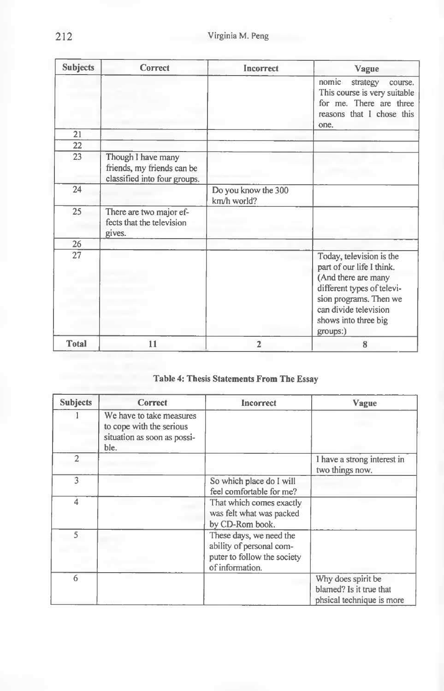| <b>Subjects</b> | Correct                                                                          | Incorrect                          | Vague                                                                                                                                                                                             |
|-----------------|----------------------------------------------------------------------------------|------------------------------------|---------------------------------------------------------------------------------------------------------------------------------------------------------------------------------------------------|
|                 |                                                                                  |                                    | nomic<br>strategy<br>course.<br>This course is very suitable<br>for me. There are three<br>reasons that I chose this<br>one.                                                                      |
| 21              |                                                                                  |                                    |                                                                                                                                                                                                   |
| 22              |                                                                                  |                                    |                                                                                                                                                                                                   |
| 23              | Though I have many<br>friends, my friends can be<br>classified into four groups. |                                    |                                                                                                                                                                                                   |
| 24              |                                                                                  | Do you know the 300<br>km/h world? |                                                                                                                                                                                                   |
| 25              | There are two major ef-<br>fects that the television<br>gives.                   |                                    |                                                                                                                                                                                                   |
| 26              |                                                                                  |                                    |                                                                                                                                                                                                   |
| 27              |                                                                                  |                                    | Today, television is the<br>part of our life I think.<br>(And there are many<br>different types of televi-<br>sion programs. Then we<br>can divide television<br>shows into three big<br>groups:) |
| <b>Total</b>    | 11                                                                               | $\overline{2}$                     | 8                                                                                                                                                                                                 |

## **Table 4: Thesis Statements From The Essay**

| <b>Subjects</b>         | <b>Correct</b>                                                                              | Incorrect                                                                                             | Vague                                                                      |
|-------------------------|---------------------------------------------------------------------------------------------|-------------------------------------------------------------------------------------------------------|----------------------------------------------------------------------------|
|                         | We have to take measures<br>to cope with the serious<br>situation as soon as possi-<br>ble. |                                                                                                       |                                                                            |
| $\overline{2}$          |                                                                                             |                                                                                                       | I have a strong interest in<br>two things now.                             |
| 3                       |                                                                                             | So which place do I will<br>feel comfortable for me?                                                  |                                                                            |
| $\overline{4}$          |                                                                                             | That which comes exactly<br>was felt what was packed<br>by CD-Rom book.                               |                                                                            |
| $\overline{\mathbf{S}}$ |                                                                                             | These days, we need the<br>ability of personal com-<br>puter to follow the society<br>of information. |                                                                            |
| 6                       |                                                                                             |                                                                                                       | Why does spirit be<br>blamed? Is it true that<br>phsical technique is more |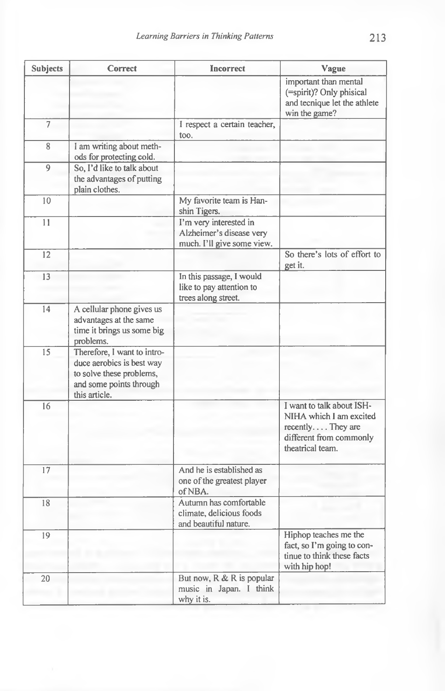| <b>Subjects</b> | Correct                                                                                                                          | Incorrect                                                                        | Vague                                                                                                                    |
|-----------------|----------------------------------------------------------------------------------------------------------------------------------|----------------------------------------------------------------------------------|--------------------------------------------------------------------------------------------------------------------------|
|                 |                                                                                                                                  |                                                                                  | important than mental<br>(=spirit)? Only phisical<br>and tecnique let the athlete<br>win the game?                       |
| $\overline{7}$  |                                                                                                                                  | I respect a certain teacher,<br>too.                                             |                                                                                                                          |
| 8               | I am writing about meth-<br>ods for protecting cold.                                                                             |                                                                                  |                                                                                                                          |
| 9               | So, I'd like to talk about<br>the advantages of putting<br>plain clothes.                                                        |                                                                                  |                                                                                                                          |
| 10              |                                                                                                                                  | My favorite team is Han-<br>shin Tigers.                                         |                                                                                                                          |
| 11              |                                                                                                                                  | I'm very interested in<br>Alzheimer's disease very<br>much. I'll give some view. |                                                                                                                          |
| 12              |                                                                                                                                  |                                                                                  | So there's lots of effort to<br>get it.                                                                                  |
| 13              |                                                                                                                                  | In this passage, I would<br>like to pay attention to<br>trees along street.      |                                                                                                                          |
| 14              | A cellular phone gives us<br>advantages at the same<br>time it brings us some big<br>problems.                                   |                                                                                  |                                                                                                                          |
| 15              | Therefore, I want to intro-<br>duce aerobics is best way<br>to solve these problems,<br>and some points through<br>this article. |                                                                                  |                                                                                                                          |
| 16              |                                                                                                                                  |                                                                                  | I want to talk about ISH-<br>NIHA which I am excited<br>recently They are<br>different from commonly<br>theatrical team. |
| 17              |                                                                                                                                  | And he is established as<br>one of the greatest player<br>of NBA.                |                                                                                                                          |
| 18              |                                                                                                                                  | Autumn has comfortable<br>climate, delicious foods<br>and beautiful nature.      |                                                                                                                          |
| 19              |                                                                                                                                  |                                                                                  | Hiphop teaches me the<br>fact, so I'm going to con-<br>tinue to think these facts<br>with hip hop!                       |
| 20              |                                                                                                                                  | But now, R & R is popular<br>music in Japan. I think<br>why it is.               |                                                                                                                          |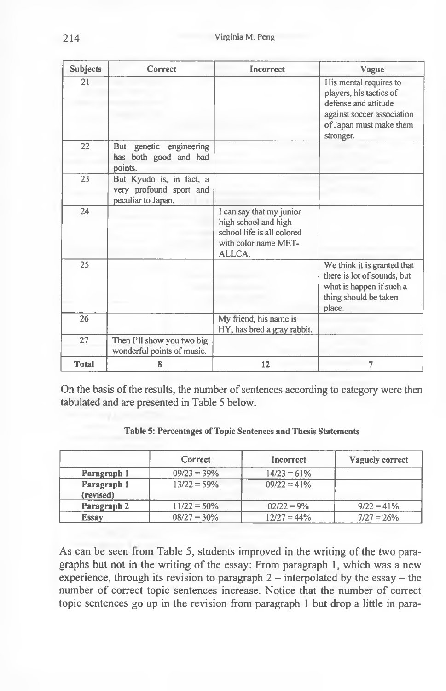| <b>Subjects</b> | Correct                                                                   | <b>Incorrect</b>                                                                                                 | Vague                                                                                                                                           |
|-----------------|---------------------------------------------------------------------------|------------------------------------------------------------------------------------------------------------------|-------------------------------------------------------------------------------------------------------------------------------------------------|
| 21              |                                                                           |                                                                                                                  | His mental requires to<br>players, his tactics of<br>defense and attitude<br>against soccer association<br>of Japan must make them<br>stronger. |
| 22              | genetic engineering<br>But<br>has both good and bad<br>points.            |                                                                                                                  |                                                                                                                                                 |
| 23              | But Kyudo is, in fact, a<br>very profound sport and<br>peculiar to Japan. |                                                                                                                  |                                                                                                                                                 |
| 24              |                                                                           | I can say that my junior<br>high school and high<br>school life is all colored<br>with color name MET-<br>ALLCA. |                                                                                                                                                 |
| 25              |                                                                           |                                                                                                                  | We think it is granted that<br>there is lot of sounds, but<br>what is happen if such a<br>thing should be taken<br>place.                       |
| 26              |                                                                           | My friend, his name is<br>HY, has bred a gray rabbit.                                                            |                                                                                                                                                 |
| 27              | Then I'll show you two big<br>wonderful points of music.                  |                                                                                                                  |                                                                                                                                                 |
| <b>Total</b>    | 8                                                                         | 12                                                                                                               | 7                                                                                                                                               |

On the basis of the results, the number of sentences according to category were then tabulated and are presented in Table 5 below.

|                          | <b>Correct</b> | Incorrect      | Vaguely correct |
|--------------------------|----------------|----------------|-----------------|
| Paragraph 1              | $09/23 = 39%$  | $14/23 = 61\%$ |                 |
| Paragraph 1<br>(revised) | $13/22 = 59%$  | $09/22 = 41\%$ |                 |
| Paragraph 2              | $11/22 = 50\%$ | $02/22 = 9%$   | $9/22 = 41\%$   |
| <b>Essay</b>             | $08/27 = 30\%$ | $12/27 = 44\%$ | $7/27 = 26\%$   |

**Table 5: Percentages of Topic Sentences and Thesis Statements**

As can be seen from Table 5, students improved in the writing of the two paragraphs but not in the writing of the essay: From paragraph 1, which was a new experience, through its revision to paragraph  $2$  - interpolated by the essay - the number of correct topic sentences increase. Notice that the number of correct topic sentences go up in the revision from paragraph 1 but drop a little in para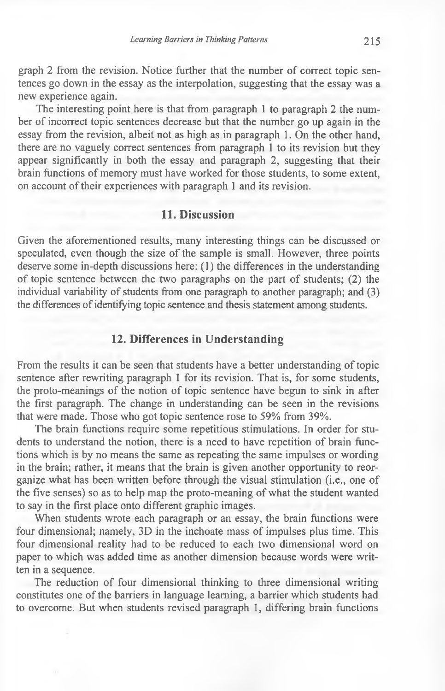graph 2 from the revision. Notice further that the number of correct topic sentences go down in the essay as the interpolation, suggesting that the essay was a new experience again.

The interesting point here is that from paragraph 1 to paragraph 2 the number of incorrect topic sentences decrease but that the number go up again in the essay from the revision, albeit not as high as in paragraph 1. On the other hand, there are no vaguely correct sentences from paragraph 1 to its revision but they appear significantly in both the essay and paragraph 2, suggesting that their brain functions of memory must have worked for those students, to some extent, on account of their experiences with paragraph 1 and its revision.

## **11. Discussion**

Given the aforementioned results, many interesting things can be discussed or speculated, even though the size of the sample is small. However, three points deserve some in-depth discussions here: (1) the differences in the understanding of topic sentence between the two paragraphs on the part of students; (2) the individual variability of students from one paragraph to another paragraph; and (3) the differences of identifying topic sentence and thesis statement among students.

### **12. Differences in Understanding**

From the results it can be seen that students have a better understanding of topic sentence after rewriting paragraph 1 for its revision. That is, for some students, the proto-meanings of the notion of topic sentence have begun to sink in after the first paragraph. The change in understanding can be seen in the revisions that were made. Those who got topic sentence rose to 59% from 39%.

The brain functions require some repetitious stimulations. In order for students to understand the notion, there is a need to have repetition of brain functions which is by no means the same as repeating the same impulses or wording in the brain; rather, it means that the brain is given another opportunity to reorganize what has been written before through the visual stimulation (i.e., one of the five senses) so as to help map the proto-meaning of what the student wanted to say in the first place onto different graphic images.

When students wrote each paragraph or an essay, the brain functions were four dimensional; namely, 3D in the inchoate mass of impulses plus time. This four dimensional reality had to be reduced to each two dimensional word on paper to which was added time as another dimension because words were written in a sequence.

The reduction of four dimensional thinking to three dimensional writing constitutes one of the barriers in language learning, a barrier which students had to overcome. But when students revised paragraph 1, differing brain functions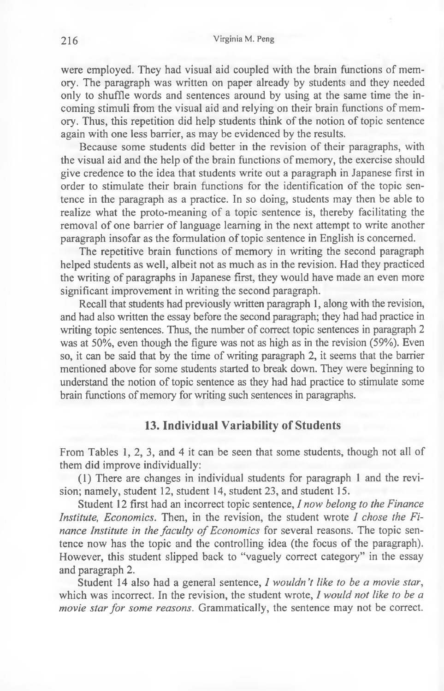were employed. They had visual aid coupled with the brain functions of memory. The paragraph was written on paper already by students and they needed only to shuffle words and sentences around by using at the same time the incoming stimuli from the visual aid and relying on their brain functions of memory. Thus, this repetition did help students think of the notion of topic sentence again with one less barrier, as may be evidenced by the results.

Because some students did better in the revision of their paragraphs, with the visual aid and the help of the brain functions of memory, the exercise should give credence to the idea that students write out a paragraph in Japanese first in order to stimulate their brain functions for the identification of the topic sentence in the paragraph as a practice. In so doing, students may then be able to realize what the proto-meaning of a topic sentence is, thereby facilitating the removal of one barrier of language learning in the next attempt to write another paragraph insofar as the formulation of topic sentence in English is concerned.

The repetitive brain functions of memory in writing the second paragraph helped students as well, albeit not as much as in the revision. Had they practiced the writing of paragraphs in Japanese first, they would have made an even more significant improvement in writing the second paragraph.

Recall that students had previously written paragraph 1, along with the revision, and had also written the essay before the second paragraph; they had had practice in writing topic sentences. Thus, the number of correct topic sentences in paragraph 2 was at 50%, even though the figure was not as high as in the revision (59%). Even so, it can be said that by the time of writing paragraph 2, it seems that the barrier mentioned above for some students started to break down. They were beginning to understand the notion of topic sentence as they had had practice to stimulate some brain functions of memory for writing such sentences in paragraphs.

### **13. Individual Variability of Students**

From Tables 1, 2, 3, and 4 it can be seen that some students, though not all of them did improve individually:

(1) There are changes in individual students for paragraph 1 and the revision; namely, student 12, student 14, student 23, and student 15.

Student 12 first had an incorrect topic sentence, *I now belong to the Finance Institute, Economics.* Then, in the revision, the student wrote *I chose the Finance Institute in the faculty of Economics* for several reasons. The topic sentence now has the topic and the controlling idea (the focus of the paragraph). However, this student slipped back to "vaguely correct category" in the essay and paragraph 2.

Student 14 also had a general sentence, *I wouldn 't like to be a movie star,* which was incorrect. In the revision, the student wrote, *I would not like to be a movie star for some reasons.* Grammatically, the sentence may not be correct.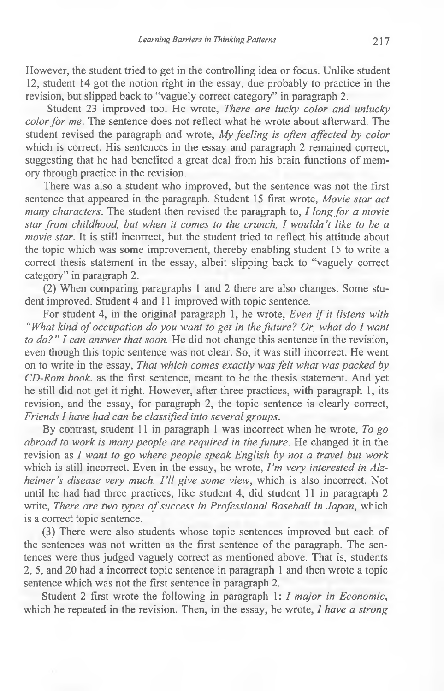However, the student tried to get in the controlling idea or focus. Unlike student 12, student 14 got the notion right in the essay, due probably to practice in the revision, but slipped back to "vaguely correct category" in paragraph 2.

Student 23 improved too. He wrote, *There are lucky color and unlucky color for me.* The sentence does not reflect what he wrote about afterward. The student revised the paragraph and wrote, *My feeling is often affected by color* which is correct. His sentences in the essay and paragraph 2 remained correct, suggesting that he had benefited a great deal from his brain functions of memory through practice in the revision.

There was also a student who improved, but the sentence was not the first sentence that appeared in the paragraph. Student 15 first wrote, *Movie star act many characters.* The student then revised the paragraph to, *I long for a movie star from childhood, but when it comes to the crunch, I wouldn't like to be a movie star*. It is still incorrect, but the student tried to reflect his attitude about the topic which was some improvement, thereby enabling student 15 to write a correct thesis statement in the essay, albeit slipping back to "vaguely correct category" in paragraph 2.

(2) When comparing paragraphs 1 and 2 there are also changes. Some student improved. Student 4 and 11 improved with topic sentence.

For student 4, in the original paragraph 1, he wrote, *Even if it listens with "What kind of occupation do you want to get in the future? Or, what do I want to do? " I can answer that soon.* He did not change this sentence in the revision, even though this topic sentence was not clear. So, it was still incorrect. He went on to write in the essay, *That which comes exactly was felt what was packed by CD-Rom book,* as the first sentence, meant to be the thesis statement. And yet he still did not get it right. However, after three practices, with paragraph 1, its revision, and the essay, for paragraph 2, the topic sentence is clearly correct, *Friends I have had can be classified into several groups.*

By contrast, student 11 in paragraph 1 was incorrect when he wrote, *To go abroad to work is many people are required in the future.* He changed it in the revision as *I want to go where people speak English by not a travel but work* which is still incorrect. Even in the essay, he wrote, *I 'm very interested in Alzheimer's disease very much. I 'll give some view,* which is also incorrect. Not until he had had three practices, like student 4, did student 11 in paragraph 2 write, *There are two types of success in Professional Baseball in Japan*, which is a correct topic sentence.

(3) There were also students whose topic sentences improved but each of the sentences was not written as the first sentence of the paragraph. The sentences were thus judged vaguely correct as mentioned above. That is, students 2, 5, and 20 had a incorrect topic sentence in paragraph 1 and then wrote a topic sentence which was not the first sentence in paragraph 2.

Student 2 first wrote the following in paragraph 1: *I major in Economic,* which he repeated in the revision. Then, in the essay, he wrote, *1 have a strong*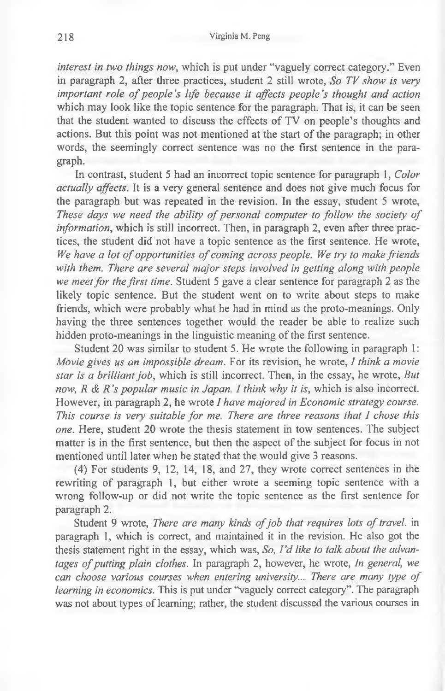*interest in two things now,* which is put under "vaguely correct category." Even in paragraph 2, after three practices, student 2 still wrote, *So TV show is very important role of people's life because it affects people's thought and action* which may look like the topic sentence for the paragraph. That is, it can be seen that the student wanted to discuss the effects of TV on people's thoughts and actions. But this point was not mentioned at the start of the paragraph; in other words, the seemingly correct sentence was no the first sentence in the paragraph.

In contrast, student 5 had an incorrect topic sentence for paragraph 1, *Color actually affects.* It is a very general sentence and does not give much focus for the paragraph but was repeated in the revision. In the essay, student 5 wrote, These days we need the ability of personal computer to follow the society of *information,* which is still incorrect. Then, in paragraph 2, even after three practices, the student did not have a topic sentence as the first sentence. He wrote, We have a lot of opportunities of coming across people. We try to make friends with them. There are several major steps involved in getting along with people *we meet for the first time.* Student 5 gave a clear sentence for paragraph 2 as the likely topic sentence. But the student went on to write about steps to make friends, which were probably what he had in mind as the proto-meanings. Only having the three sentences together would the reader be able to realize such hidden proto-meanings in the linguistic meaning of the first sentence.

Student 20 was similar to student 5. He wrote the following in paragraph 1: *Movie gives us an impossible dream.* For its revision, he wrote, *I think a movie star is a brilliant job,* which is still incorrect. Then, in the essay, he wrote, *But now, R & R 's popular music in Japan. I think why it is,* which is also incorrect. However, in paragraph 2, he wrote *I have majored in Economic strategy course. This course is very suitable for me. There are three reasons that I chose this one.* Here, student 20 wrote the thesis statement in tow sentences. The subject matter is in the first sentence, but then the aspect of the subject for focus in not mentioned until later when he stated that the would give 3 reasons.

(4) For students 9, 12, 14, 18, and 27, they wrote correct sentences in the rewriting of paragraph 1, but either wrote a seeming topic sentence with a wrong follow-up or did not write the topic sentence as the first sentence for paragraph 2.

Student 9 wrote, *There are many kinds of job that requires lots of travel*. in paragraph 1, which is correct, and maintained it in the revision. He also got the thesis statement right in the essay, which was, *So, I 'd like to talk about the advantages of putting plain clothes.* In paragraph 2, however, he wrote, *In general, we can choose various courses when entering university... There are many type of learning in economics.* This is put under "vaguely correct category". The paragraph was not about types of learning; rather, the student discussed the various courses in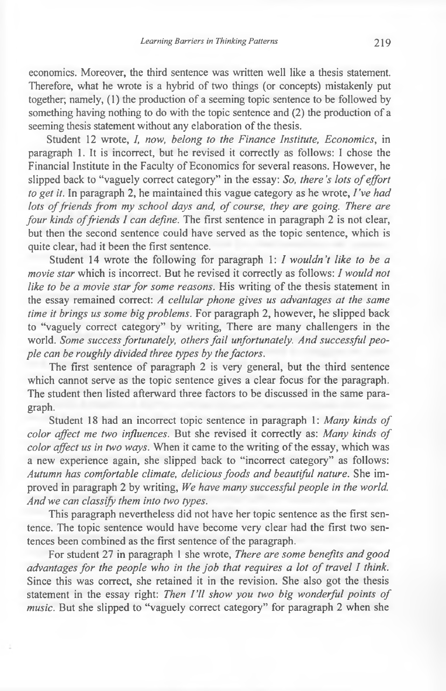economics. Moreover, the third sentence was written well like a thesis statement. Therefore, what he wrote is a hybrid of two things (or concepts) mistakenly put together; namely, (1) the production of a seeming topic sentence to be followed by something having nothing to do with the topic sentence and (2) the production of a seeming thesis statement without any elaboration of the thesis.

Student 12 wrote, *I, now, belong to the Finance Institute, Economics,* in paragraph 1. It is incorrect, but he revised it correctly as follows: I chose the Financial Institute in the Faculty of Economics for several reasons. However, he slipped back to "vaguely correct category" in the essay: *So, there's lots of effort to get it.* In paragraph 2, he maintained this vague category as he wrote, *I 've had lots of friends from my school days and, of course, they are going. There are four kinds of friends I can define.* The first sentence in paragraph 2 is not clear, but then the second sentence could have served as the topic sentence, which is quite clear, had it been the first sentence.

Student 14 wrote the following for paragraph 1: *I wouldn 't like to be a movie star* which is incorrect. But he revised it correctly as follows: / *would not like to be a movie star for some reasons.* His writing of the thesis statement in the essay remained correct: *A cellular phone gives us advantages at the same time it brings us some big problems.* For paragraph 2, however, he slipped back to "vaguely correct category" by writing, There are many challengers in the world. *Some success fortunately, others fail unfortunately. And successful people can be roughly divided three types by the factors.*

The first sentence of paragraph  $2$  is very general, but the third sentence which cannot serve as the topic sentence gives a clear focus for the paragraph. The student then listed afterward three factors to be discussed in the same paragraph.

Student 18 had an incorrect topic sentence in paragraph 1: Many kinds of *color affect me two influences.* But she revised it correctly as: *Many kinds of color affect us in two ways.* When it came to the writing of the essay, which was a new experience again, she slipped back to "incorrect category" as follows: *Autumn has comfortable climate, delicious foods and beautiful nature.* She improved in paragraph 2 by writing, *We have many successful people in the world. And we can classify them into two types.*

This paragraph nevertheless did not have her topic sentence as the first sentence. The topic sentence would have become very clear had the first two sentences been combined as the first sentence of the paragraph.

For student 27 in paragraph 1 she wrote, *There are some benefits and good advantages for the people who in the job that requires a lot of travel I think.* Since this was correct, she retained it in the revision. She also got the thesis statement in the essay right: *Then I'll show you two big wonderful points of music.* But she slipped to "vaguely correct category" for paragraph 2 when she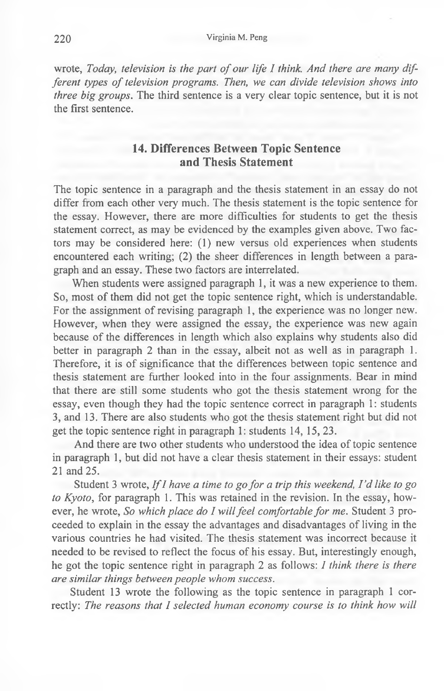wrote, *Today, television is the part of our life I think. And there are many different types of television programs. Then, we can divide television shows into three big groups.* The third sentence is a very clear topic sentence, but it is not the first sentence.

## **14. Differences Between Topic Sentence and Thesis Statement**

The topic sentence in a paragraph and the thesis statement in an essay do not differ from each other very much. The thesis statement is the topic sentence for the essay. However, there are more difficulties for students to get the thesis statement correct, as may be evidenced by the examples given above. Two factors may be considered here: (1) new versus old experiences when students encountered each writing; (2) the sheer differences in length between a paragraph and an essay. These two factors are interrelated.

When students were assigned paragraph 1, it was a new experience to them. So, most of them did not get the topic sentence right, which is understandable. For the assignment of revising paragraph 1, the experience was no longer new. However, when they were assigned the essay, the experience was new again because of the differences in length which also explains why students also did better in paragraph 2 than in the essay, albeit not as well as in paragraph 1. Therefore, it is of significance that the differences between topic sentence and thesis statement are further looked into in the four assignments. Bear in mind that there are still some students who got the thesis statement wrong for the essay, even though they had the topic sentence correct in paragraph 1: students 3, and 13. There are also students who got the thesis statement right but did not get the topic sentence right in paragraph 1: students 14, 15, 23.

And there are two other students who understood the idea of topic sentence in paragraph 1, but did not have a clear thesis statement in their essays: student 21 and 25.

Student 3 wrote, *If I have a time to go for a trip this weekend*, *I'd like to go to Kyoto,* for paragraph 1. This was retained in the revision. In the essay, however, he wrote, *So which place do I will feel comfortable for me.* Student 3 proceeded to explain in the essay the advantages and disadvantages of living in the various countries he had visited. The thesis statement was incorrect because it needed to be revised to reflect the focus of his essay. But, interestingly enough, he got the topic sentence right in paragraph 2 as follows: *I think there is there are similar things between people whom success.*

Student 13 wrote the following as the topic sentence in paragraph 1 correctly: *The reasons that I selected human economy course is to think how will*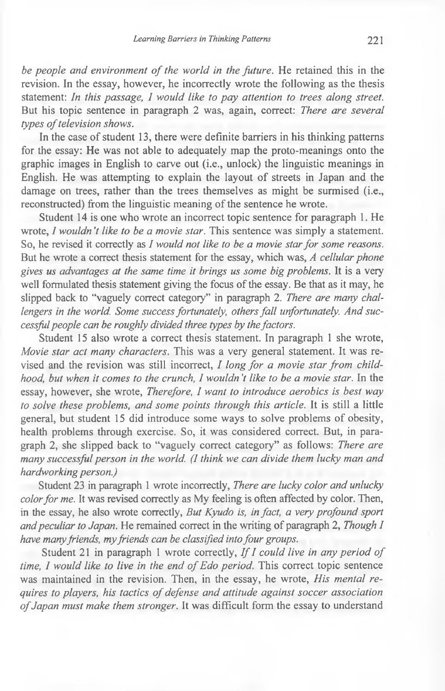*be people and environment of the world in the future.* He retained this in the revision. In the essay, however, he incorrectly wrote the following as the thesis statement: *In this passage, I would like to pay attention to trees along street.* But his topic sentence in paragraph 2 was, again, correct: *There are several types of television shows.* 

In the case of student 13, there were definite barriers in his thinking patterns for the essay: He was not able to adequately map the proto-meanings onto the graphic images in English to carve out (i.e., unlock) the linguistic meanings in English. He was attempting to explain the layout of streets in Japan and the damage on trees, rather than the trees themselves as might be surmised (i.e., reconstructed) from the linguistic meaning of the sentence he wrote.

Student 14 is one who wrote an incorrect topic sentence for paragraph 1. He wrote, *I wouldn't like to be a movie star*. This sentence was simply a statement. So, he revised it correctly as *I would not like to be a movie star for some reasons.* But he wrote a correct thesis statement for the essay, which was, *A cellular phone gives us advantages at the same time it brings us some big problems.* It is a very well formulated thesis statement giving the focus of the essay. Be that as it may, he slipped back to "vaguely correct category" in paragraph 2. *There are many challengers in the world. Some success fortunately, others fall unfortunately. And successful people can be roughly divided three types by the factors.*

Student 15 also wrote a correct thesis statement. In paragraph 1 she wrote, *Movie star act many characters.* This was a very general statement. It was revised and the revision was still incorrect, *I long for a movie star from childhood, but when it comes to the crunch, I wouldn't like to be a movie star.* In the essay, however, she wrote, *Therefore, I want to introduce aerobics is best way to solve these problems, and some points through this article.* It is still a little general, but student 15 did introduce some ways to solve problems of obesity, health problems through exercise. So, it was considered correct. But, in paragraph 2, she slipped back to "vaguely correct category" as follows: *There are many successful person in the world. (I think we can divide them lucky man and hardworking person.)*

Student 23 in paragraph 1 wrote incorrectly, *There are lucky color and unlucky color for me.* It was revised correctly as My feeling is often affected by color. Then, in the essay, he also wrote correctly, *But Kyudo is, in fact, a very profound sport and peculiar to Japan.* He remained correct in the writing of paragraph 2, *Though I have many friends, my friends can be classified into four groups.*

Student 21 in paragraph 1 wrote correctly, *If I could live in any period of time, I would like to live in the end of Edo period.* This correct topic sentence was maintained in the revision. Then, in the essay, he wrote, *His mental requires to players, his tactics of defense and attitude against soccer association* of Japan must make them stronger. It was difficult form the essay to understand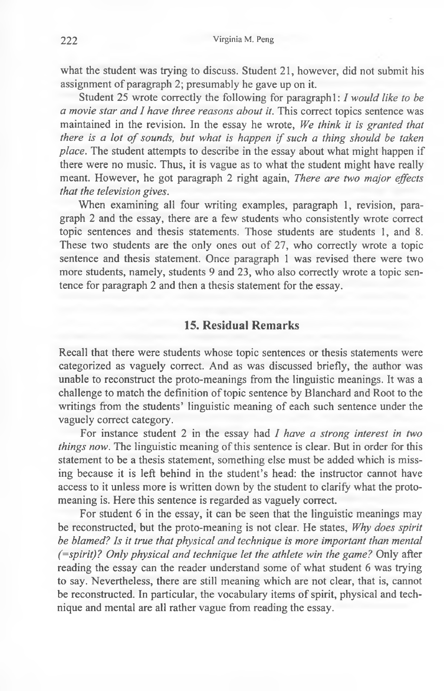what the student was trying to discuss. Student 21, however, did not submit his assignment of paragraph 2; presumably he gave up on it.

Student 25 wrote correctly the following for paragraph 1: *I would like to be a movie star and I have three reasons about it.* This correct topics sentence was maintained in the revision. In the essay he wrote, *We think it is granted that there is a lot of sounds, but what is happen if such a thing should be taken place.* The student attempts to describe in the essay about what might happen if there were no music. Thus, it is vague as to what the student might have really meant. However, he got paragraph 2 right again, *There are two major effects that the television gives.*

When examining all four writing examples, paragraph 1, revision, paragraph 2 and the essay, there are a few students who consistently wrote correct topic sentences and thesis statements. Those students are students 1, and 8. These two students are the only ones out of 27, who correctly wrote a topic sentence and thesis statement. Once paragraph 1 was revised there were two more students, namely, students 9 and 23, who also correctly wrote a topic sentence for paragraph 2 and then a thesis statement for the essay.

## **15. Residual Remarks**

Recall that there were students whose topic sentences or thesis statements were categorized as vaguely correct. And as was discussed briefly, the author was unable to reconstruct the proto-meanings from the linguistic meanings. It was a challenge to match the definition of topic sentence by Blanchard and Root to the writings from the students' linguistic meaning of each such sentence under the vaguely correct category.

For instance student 2 in the essay had *I have a strong interest in two things now.* The linguistic meaning of this sentence is clear. But in order for this statement to be a thesis statement, something else must be added which is missing because it is left behind in the student's head: the instructor cannot have access to it unless more is written down by the student to clarify what the protomeaning is. Here this sentence is regarded as vaguely correct.

For student 6 in the essay, it can be seen that the linguistic meanings may be reconstructed, but the proto-meaning is not clear. He states, *Why does spirit be blamed? Is it true that physical and technique is more important than mental (=spirit)? Only physical and technique let the athlete win the game?* Only after reading the essay can the reader understand some of what student 6 was trying to say. Nevertheless, there are still meaning which are not clear, that is, cannot be reconstructed. In particular, the vocabulary items of spirit, physical and technique and mental are all rather vague from reading the essay.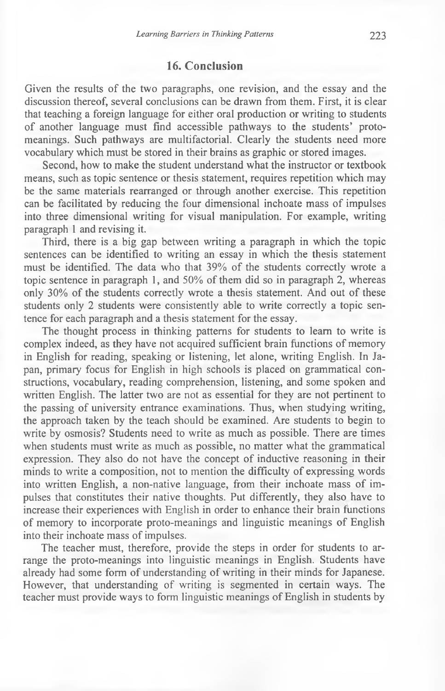## **16. Conclusion**

Given the results of the two paragraphs, one revision, and the essay and the discussion thereof, several conclusions can be drawn from them. First, it is clear that teaching a foreign language for either oral production or writing to students of another language must find accessible pathways to the students' protomeanings. Such pathways are multifactorial. Clearly the students need more vocabulary which must be stored in their brains as graphic or stored images.

Second, how to make the student understand what the instructor or textbook means, such as topic sentence or thesis statement, requires repetition which may be the same materials rearranged or through another exercise. This repetition can be facilitated by reducing the four dimensional inchoate mass of impulses into three dimensional writing for visual manipulation. For example, writing paragraph 1 and revising it.

Third, there is a big gap between writing a paragraph in which the topic sentences can be identified to writing an essay in which the thesis statement must be identified. The data who that 39% of the students correctly wrote a topic sentence in paragraph 1, and 50% of them did so in paragraph 2, whereas only 30% of the students correctly wrote a thesis statement. And out of these students only 2 students were consistently able to write correctly a topic sentence for each paragraph and a thesis statement for the essay.

The thought process in thinking patterns for students to learn to write is complex indeed, as they have not acquired sufficient brain functions of memory in English for reading, speaking or listening, let alone, writing English. In Japan, primary focus for English in high schools is placed on grammatical constructions, vocabulary, reading comprehension, listening, and some spoken and written English. The latter two are not as essential for they are not pertinent to the passing of university entrance examinations. Thus, when studying writing, the approach taken by the teach should be examined. Are students to begin to write by osmosis? Students need to write as much as possible. There are times when students must write as much as possible, no matter what the grammatical expression. They also do not have the concept of inductive reasoning in their minds to write a composition, not to mention the difficulty of expressing words into written English, a non-native language, from their inchoate mass of impulses that constitutes their native thoughts. Put differently, they also have to increase their experiences with English in order to enhance their brain functions of memory to incorporate proto-meanings and linguistic meanings of English into their inchoate mass of impulses.

The teacher must, therefore, provide the steps in order for students to arrange the proto-meanings into linguistic meanings in English. Students have already had some form of understanding of writing in their minds for Japanese. However, that understanding of writing is segmented in certain ways. The teacher must provide ways to form linguistic meanings of English in students by